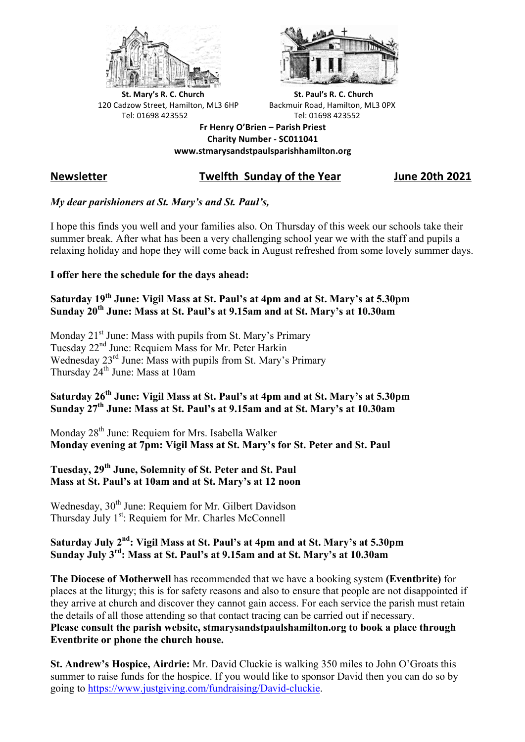



**St.** Mary's R. C. Church St. Paul's R. C. Church 120 Cadzow Street, Hamilton, ML3 6HP Backmuir Road, Hamilton, ML3 0PX Tel: 01698 423552 Tel: 01698 423552

**Fr Henry O'Brien – Parish Priest Charity Number - SC011041 www.stmarysandstpaulsparishhamilton.org**

# **Newsletter Twelfth Sunday of the Year June 20th 2021**

#### *My dear parishioners at St. Mary's and St. Paul's,*

I hope this finds you well and your families also. On Thursday of this week our schools take their summer break. After what has been a very challenging school year we with the staff and pupils a relaxing holiday and hope they will come back in August refreshed from some lovely summer days.

#### **I offer here the schedule for the days ahead:**

### **Saturday 19th June: Vigil Mass at St. Paul's at 4pm and at St. Mary's at 5.30pm Sunday 20th June: Mass at St. Paul's at 9.15am and at St. Mary's at 10.30am**

Monday 21<sup>st</sup> June: Mass with pupils from St. Mary's Primary Tuesday 22nd June: Requiem Mass for Mr. Peter Harkin Wednesday 23<sup>rd</sup> June: Mass with pupils from St. Mary's Primary Thursday  $24^{th}$  June: Mass at 10am

## **Saturday 26th June: Vigil Mass at St. Paul's at 4pm and at St. Mary's at 5.30pm Sunday 27th June: Mass at St. Paul's at 9.15am and at St. Mary's at 10.30am**

Monday 28<sup>th</sup> June: Requiem for Mrs. Isabella Walker **Monday evening at 7pm: Vigil Mass at St. Mary's for St. Peter and St. Paul**

## **Tuesday, 29th June, Solemnity of St. Peter and St. Paul Mass at St. Paul's at 10am and at St. Mary's at 12 noon**

Wednesday, 30<sup>th</sup> June: Requiem for Mr. Gilbert Davidson Thursday July 1<sup>st</sup>: Requiem for Mr. Charles McConnell

# **Saturday July 2nd: Vigil Mass at St. Paul's at 4pm and at St. Mary's at 5.30pm Sunday July 3rd: Mass at St. Paul's at 9.15am and at St. Mary's at 10.30am**

**The Diocese of Motherwell** has recommended that we have a booking system **(Eventbrite)** for places at the liturgy; this is for safety reasons and also to ensure that people are not disappointed if they arrive at church and discover they cannot gain access. For each service the parish must retain the details of all those attending so that contact tracing can be carried out if necessary. **Please consult the parish website, stmarysandstpaulshamilton.org to book a place through Eventbrite or phone the church house.**

**St. Andrew's Hospice, Airdrie:** Mr. David Cluckie is walking 350 miles to John O'Groats this summer to raise funds for the hospice. If you would like to sponsor David then you can do so by going to https://www.justgiving.com/fundraising/David-cluckie.